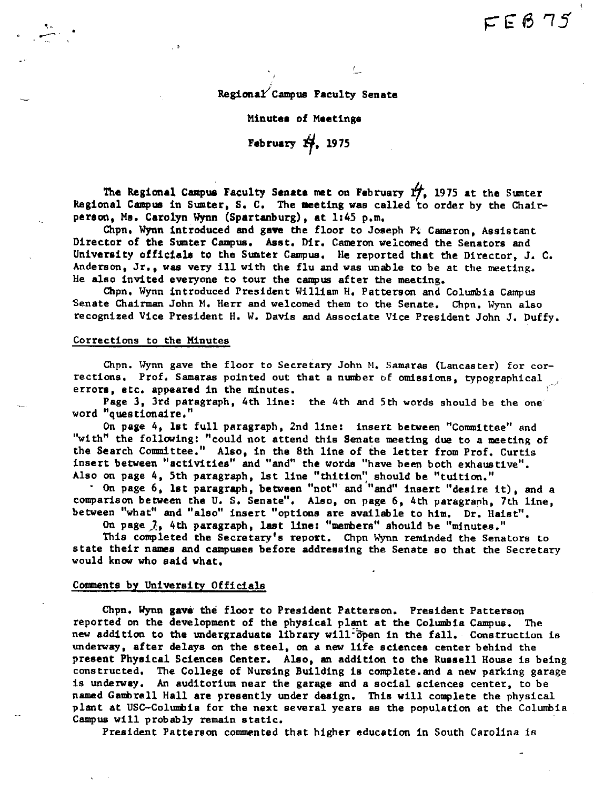Regional Campus Faculty Senate

#### Minutea of Maetinga

# **February** *'if,* <sup>1975</sup>

**The Regional Campus** Faculty **Senate met** on February *f/,* 1975 **at** the Sumter Regional Campus in Sumter, S, C, The **Meting was** called to order by the Chair**person, Me,** Carolyn **Wynn (Spartanburg), at** 1145 p,m,

Chpn. Wynn introduced and gave the floor to Joseph P. Cameron, Assistant Director of the Sumter Campus, **Asst,** Dir, Cameron welcomed the Senators and University officiale to the Smter Campus, He reported that the Director, J. C. Anderson, Jr,, was very ill with the flu and was unable to be at the meeting. He **also** invited everyone to tour the campus after the meeting,

Chpn, Wynn introduced President William H, Patterson and Columbia Campus Senate Chairman John M, Herr and welcomed them to the Senate, Chpn, Wynn also recognized Vice President H, W, Davis and Associate Vice President John J. Duffy.

### Corrections to the Minutes

.~-

Chpn, Wynn gave the floor to Secretary John M, Samaras (Lancaster) for corrections, Prof, Samaras pointed out that a number of omissions, typographical errors, etc, appeared in the minutes,

Page 3, 3rd paragraph, 4th line: the 4th and 5th words should be the one word "questionaire,"

On page 4, lat full paragraph, 2nd line: insert between "Conmittee" and "with" the following: "could not attend this Senate meeting due to a meeting of the Search Committee." Also, in the 8th line of the letter from Prof. Curtis insert between "activities" and "and" the words "have been both exhaustive". Also on page 4, 5th paragraph, 1st line "thition" should be "tuition."

• On page 6, lat paragraph, **between** "not" and '"and" insert "desire it), and a comparison between the U, S, Senate", Also, on page 6, 4th paragranh, 7th line, between "what" and "also" insert "options are available to him, Dr. Haist",

On page  $\lambda$ , 4th paragraph, last line: "members" should be "minutes."

This completed the Secretary's report. Chpn Wynn reminded the Senators to state their names and campuses before addressing the Senate so that the Secretary would know who said what.

## Comments by University Officials

Chpn, Wynn **gave·** the floor to President Patterson. President Patterson reported on the development of the physical plant at the Columbia Campus. The new addition to the undergraduate library will öpen in the fall. Construction is underway, after delays on the steel, on a new life sciences center behind the present Phyeical Sciences Center. Also, an addition to the Russell House is being constructed. The College of Nursing Building is complete. and a new parking garage is underway. An auditorium near the garage and a social sciences center, to be named Gambrell Hall **are** presently under **design,** Thia will complete the physical plant at USC-Columbia for the next several years as the population at the Columbia Campus will probably remain static.

President Patterson commented that higher education in South Carolina is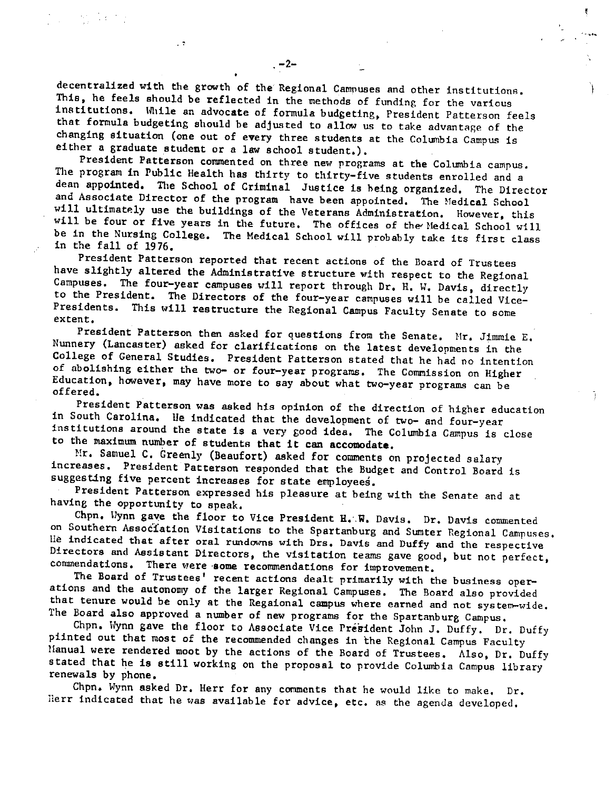decentralized with the growth of the Regional Campuses and other institutions. This, he feels should be reflected in the methods of funding for the various institutions, While an **advocate** of formula budgeting, President Patterson feels that formula budgeting should he adjusted to allow us to take advantage of the changing situation (one out of **every** three students at the Columbia Campus is either a graduate **student** or a law school student,),

President Patterson commented on three new programs at the Columbia campus. The program in Public Health has thirty to thirty-five students enrolled and a dean appointed, The School of Criminal Justice is being organized, The Director and Associate Director of the program have been appointed. The Medical School will ultimately use the buildings of the Veterans Administration, However, this will be four or five years in the future. The offices of the Medical School will be in the Nursing College, The Medical School will probably take its first class in the fall of 1976,

President Patterson reported that recent actions of the Board of Trustees have slightly altered the Administrative structure with respect to the Regional Campuses, The four-year campuses will report through Dr, H. W, Davis, directly to the President, The Directors of the four-year campuses will be called Vice-Presidents, This will restructure the Regional Campus Faculty Senate to some **extent.** 

President Patterson then asked for questions from the Senate. Mr. Jimmie E. Nunnery (Lancaster) asked for clarifications on the latest developments in the College of General Studies. President Patterson stated that he had no intention of abolishing either the two- or four-year programs. The Commission on Higher Education, however, may have more to say about what two-year programs can be offered,

President Patterson was asked his opinion of the direction of higher education in South Carolina, Ile indicated that the development of two- and four-year institutions around the state is <sup>a</sup>very good ides, The Columbia Campus is close to the maximum number of students **that it can accomodate.** 

Ĩ.

Mr, Samuel C, Greenly (Beaufort) asked for comments on projected salary increases, President Patterson responded that the Budget and Control Board is suggesting five percent increases for state employees.

President Patterson expressed his pleasure at being with the Senate and at having the opportunity to speak,

Chpn. Wynn gave the floor to Vice President **H. W.** Davis, Dr. Davis commented on Southern Association Visitations to the Spartanburg and Sumter Regional Campuses. Ile indicated that after oral rundowns with Drs, Davis and Duffy and the respective Directors and Assistant Directors, the visitation teams gave good, but not perfect, commendations, There were **-some** recommendations for improvement,

The Board of Trustees' recent actions dealt primarily with the business operations and the autonomy of the larger Regional Campuses, The Board also provided that tenure would be only at the Regaional campus where earned and not system-wide, The Board also approved a number of new programs for the Spartanburg Campus.

Chpn. Wynn gave the floor to Associate Vice President John J. Duffy. Dr. Duffy <sup>p</sup>iinted out that most of the recommended changes in the Regional Campus Faculty Hanual were rendered moot by the actions of the Board of Trustees, Also, Dr, Duffy stated that he is still working on the proposal to provide Columbia Campus library renewals by phone,

Chpn, Wynn asked Dr, Herr for any comments that he would like to make, Dr, Herr indicated that he was available for advice, etc. as the agenda developed.

 $\sim 3\%$  .

 $\cdot$  7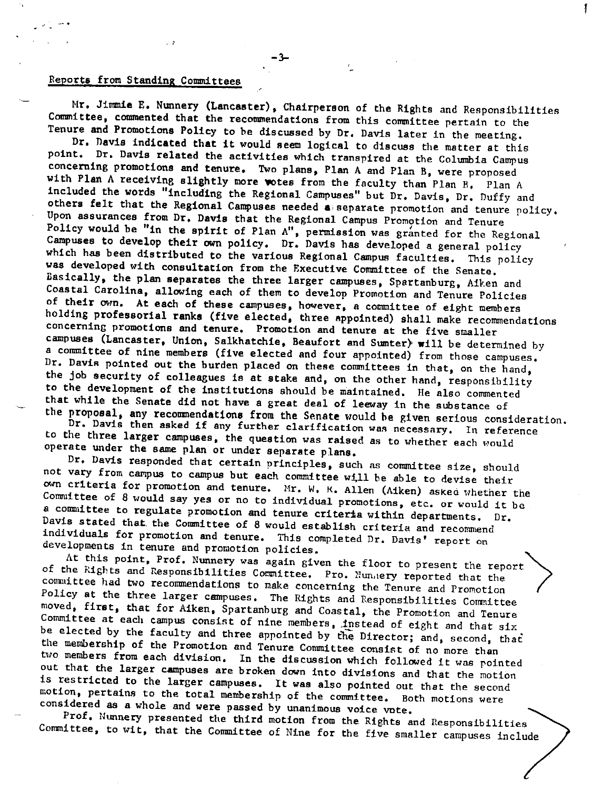# Reports from Standing Committees

Hr, Jimmie E, Nwmery (Lancaster), Chairperson of the Rights and Responsibilities Committee, commented that the recommendations from this committee pertain to the Tenure and Promotions Policy to be discussed by Dr, Davis later in the meeting,

l.

Dr, **navis indicated that** it would seem logical to discuss the matter st this point, Dr, Davis related the activities which transpired at the Columbia Campus concerning promotions and tenure, Two plans, Plan A and Plan B, were proposed with Plan A receiving slightly more wotes from the faculty than Plan B. Plan A included the words "including the Regional Campuses" but Dr. Davis, Dr. Duffy and others felt that the Regional Campuses needed **a,** separate promotion and tenure policy, Upon assurances from Dr, **Davis** that the Regional Campus Promotion and Tenure Policy would be "in the spirit of Plan A", permission was granted for the Regional Campuses to develop their own policy. Dr. Davis has developed a general policy<br>which has been distributed to the various Regional Campus faculties. This policy which has been distributed to the various Regional Campus faculties. was developed with consultation from the Executive Committee of the Senate, Basically, the plan **separates** the three larger campuses, Spartanburg, Aiken and Coastal Carolina, allowing each of them to develop Promotion and Tenure Policies of their own. At each of these campuses, however, a committee of eight members holding professorial ranks (five elected, three appointed) shall make recommendations concerning promotions and tenure. Promotion and tenure at the five smaller campuses (Lancaster, Union, Salkhatchie, Beaufort and Sumter)· **will** be determined by <sup>a</sup>committee of nine members (five elected and four appointed) from those campuses, Dr. Davis pointed out the burden placed on these committees in that, on the hand, the job security of colleagues is at stake and, on the other hand, responsibility to the development of the institutions should be maintained, lie also commented that while the Senate did not have a great deal of leeway in the substance of the proposal,

Dr. osal, any recommendations from the Senate would be given serious consideration.<br>Davis then asked if any further clarification was necessary. In reference to the three **larger** campuses, the question was raised as to whether each would operate under the same plan or under separate plans,

Dr, Davis responded that certain principles, such as committee size, should not vary from campus to campus but each committee will be able to devise their Committee of 8 would say yes or no to individual promotions, etc. or would it be own cr1teria for promotion and tenure, Hr. W, K, Allen (Aiken) askea whether the a conmtittee to regulate promotion and tenure criteria within departments, Dr. Davis stated that the Committee of 8 would establish criteria and recommend individuals for promotion and tenure. This completed Dr. Davis' report on developments in tenure and promotion policies, )

At this point, Prof, Nunnery was again given the floor to present the report of the Rights and Responsibilities Committee. Pro. Nunnery reported that the committee had two recommendations to make concerning the Tenure and Promotion Policy **at** the three larger campuses, The Rights and Responsibilities Committee moved, **first,** that for Aiken, Spartanburg and Coastal, the Promotion and Tenure Committee at each campus consist of nine members, instead of eight and that six be elected by the faculty and three appointed by the Director; and, second, that the membership of the Promotion and Tenure Committee consist of no more than two members from each division. In the discussion which followed it was pointed out that the larger campuses are broken down into divisions and that the motion is restricted to the larger campuses, It was also pointed out that the second motion, pertains to the total membership of the committee, Both motions were considered as a whole and were passed by unanimous voice vote,

Prof, Nunnery presented the third motion from the Rights and Responsibilities Committee, to wit, that the Committee of Nine for the five smaller campuses include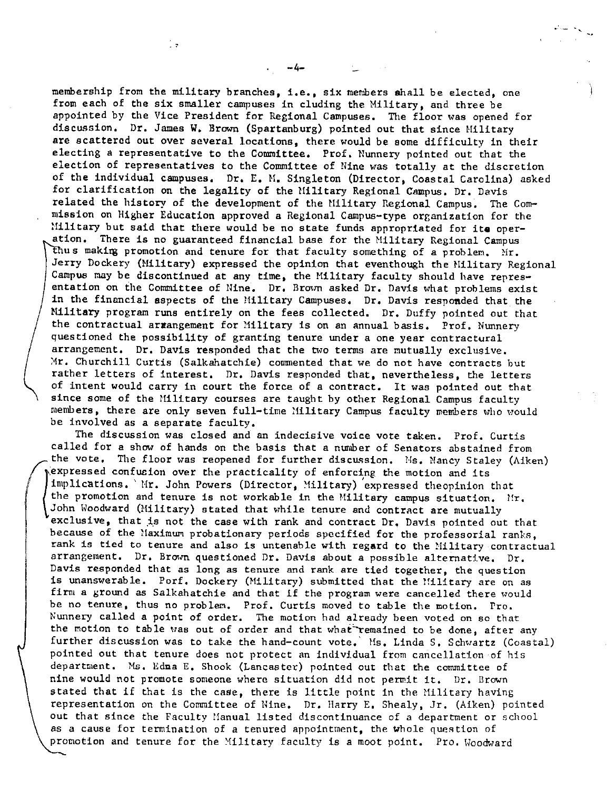membership from the military branches, i,e,, six members shall be elected, one from each of the six smaller campuses in eluding the Military, and three be appointed by the Vice President for Regional Campuses, The floor was opened for discussion, Dr, James **W,** Brown (Spartanburg) pointed out that since Hilitary are scattered out over several locations, there would be some difficulty in their electing a representative to the Committee, Prof. Nunnery pointed out that the election of representatives to the Committee of Nine was totally at the discretion of the individual campuses, Dr, E. M, Singleton (Director, Coastal Carolina) asked for clarification on the legality of the Military Regional Campus. Dr. Davis related the history of the development of the Military Regional Campus. The Commission on Higher Education approved a Regional Campus-type organization for the !!ilitary but said that there would be no state funds appropriated for **ite** operation, There is no guaranteed financial base for the Military Regional Campus thus making promotion and tenure for that faculty something of a problem. Mr. Jerry Dockery (Military) expressed the opinion that eventhough the Hilitary Regional Campus may be discontinued at any time, the Military faculty should have representation on the Committee of Nine, Dr, Brown asked Dr. Davis what problems exist in the financial aspects of the Military Campuses. Dr. Davis responded that the **Military** program runs entirely on the fees collected, Dr. Duffy pointed out that the contractual arrangement for Military is on an annual basis. Prof. Nunnery questioned the possibility of granting tenure under a one year contractural arrangement. Dr. Davis responded that the two terms are mutually exclusive. Mr. Churchill Curtis (Salkahatchie) commented that we do not have contracts but rather letters of interest. Dr, Davis responded that, nevertheless, the letters of intent would carry in court the force of a contract, It was pointed out that since some of the Hilitary courses are taught by other Regional Campus faculty members, there are only seven full-time Military Campus faculty members who would be involved as a separate faculty.

-4-

l e

The discussion was closed and an indecisive voice vote taken, Prof, Curtis called for a show of hands on the basis that a number of Senators abstained from the vote. The floor was reopened for further discussion. Ms. Nancy Staley (Aiken) ( :expressed confucion over the practicality of enforcing the motion and its implications. 'Mr. John Powers (Director, Military) expressed theopinion that the promotion and tenure is not workable in the Military campus situation.  $l/r$ , John Woodward (Military) stated that while tenure and contract are mutually  $exclusive$ , that is not the case with rank and contract Dr. Davis pointed out that because of the Maximum probationary periods specified for the professorial ranks, rank is tied to tenure and also is untenable with regard to the Military contractual arrangement. Dr. Brown questioned Dr. Davis about a possible alternative. Dr. Davis responded that as long as tenure and rank are tied together, the question is unanswerable. Porf. Dockery (Military) submitted that the Military are on as firm a ground as Salkahatchie and that if the program were cancelled there would be no tenure, thus no problem. Prof. Curtis moved to table the motion. Pro. Nunnery called a point of order. The motion had already been voted on so that the motion to table was out of order and that what remained to be done, after any further discussion was to take the hand-count vote. Ms. Linda S. Schwartz (Coastal) pointed out that tenure does not protect an individual from cancellation of his department. Ms. Edna E. Shook (Lancaster) pointed out that the committee of nine would not promote someone where situation did not permit it. Dr. Brown stated that if that is the case, there is little point in the Military having representation on the Committee of Nine, Dr. Harry E, Shealy, Jr, (Aiken) pointed out that since the Faculty Manual listed discontinuance of a department or school as a cause for termination of a tenured appointment, the whole question of promotion and tenure for the Military faculty is a moot point. Pro. Woodward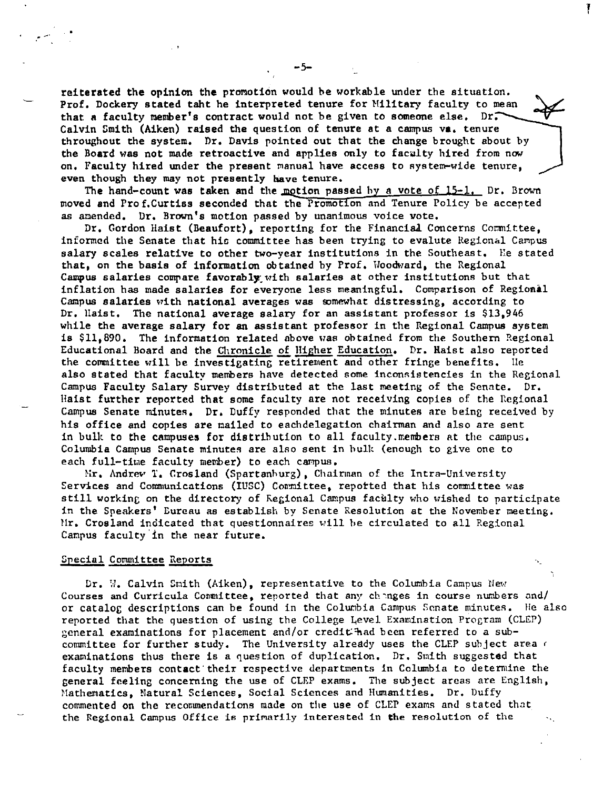reiterated the opinion the promotion would be workable under the situation. Prof, Dockery stated taht he interpreted tenure for Military faculty to mean that a faculty member's contract would not be given to someone else. Dr. Calvin Smith (Aiken) raised the question of tenure at a campus va, tenure throughout the system. Dr, Davis pointed out that the change brought about by the Board was not made retroactive and applies only to faculty hired from now on. Faculty hired under the present manual have access to system-wide tenure. even though they may not presently have tenure,

The hand-count was taken and the motion passed by a vote of  $15-1$ . Dr. Brown moved and Prof.Curtiss seconded that the Promotion and Tenure Policy be accepted as amended. Dr, Brown's motion passed by unanimous voice vote.

Dr. Gordon Haist (Beaufort), reporting for the Financial Concerns Committee, informed the Senate that his committee has been trying to evalute Regional Campus salary scales relative to other two-year institutions in the Southeast. He stated that, on the **basis** of information obtained by Prof. Hoodward, the Regional Campus salaries compare favorably with salaries at other institutions but that inflation has made salaries for everyone less meaningful, Comparison of Regional Campus salaries with national averages was somewhat distressing, according to Dr. Haist, The national average salary for an assistant professor is \$13,946 while the average salary for an assistant professor in the Regional Campus system **is** \$11,890, The information related above was obtained from the Southern Regional Educational Board and the Chronicle of Higher Education. Dr. Haist also reported the committee will be investigating retirement and other fringe benefits. He also stated that faculty members have detected some inconsistencies in the Regional Campus Faculty Salary Survey distributed at the last meeting of the Sennte. Dr, Haist further reported that some faculty are not receiving copies of the Regional Campus Senate minutes. Dr. Duffy responded that the minutes are being received by his office and copies are mailed to eachdelegation chairman and also are sent in bulk to the campuses for distribution to all faculty. members at the campus. Columbia Campus Senate minutes are also sent in hulk (enough to give one to each full-time faculty member) to each campus.

Nr. Andrew T. Crosland (Spartanburg), Chairman of the Intra-University Services and Communications (IUSC) Committee, reported that his committee was still working on the directory of Regional Campus faculty who wished to participate in the Speakers' Eureau as establish by Senate Resolution at the November meeting. Mr. Crosland indicated that questionnaires will be circulated to all Regional Campus faculty'in the near future,

## **Special Committee Reports**

 $\sim$ 

Dr. W. Calvin Smith (Aiken), representative to the Columbia Campus New Courses and Curricula Committee, reported that any changes in course numbers and/ or catalog descriptions can be found in the Columbia Campus Senate minutes. He also reported that the question of using the College Level Examination Program (CLEP) general examinations for placement and/or credititiad been referred to a subcommittee for further study. The University already uses the CLEP subject area of examinations thus there is a question of duplication, Dr. Smith suggested that faculty members contact· their respective departments in Columbia to determine the general feeling concerning the use of CLEP exams, The subject areas are English, Mathematics, Natural Sciences, Social Sciences and Humanities, Dr. Duffy commented on the recommendations made on the use of CLEP exams and stated that the Regional Campus Office is primarily interested in the resolution of the

f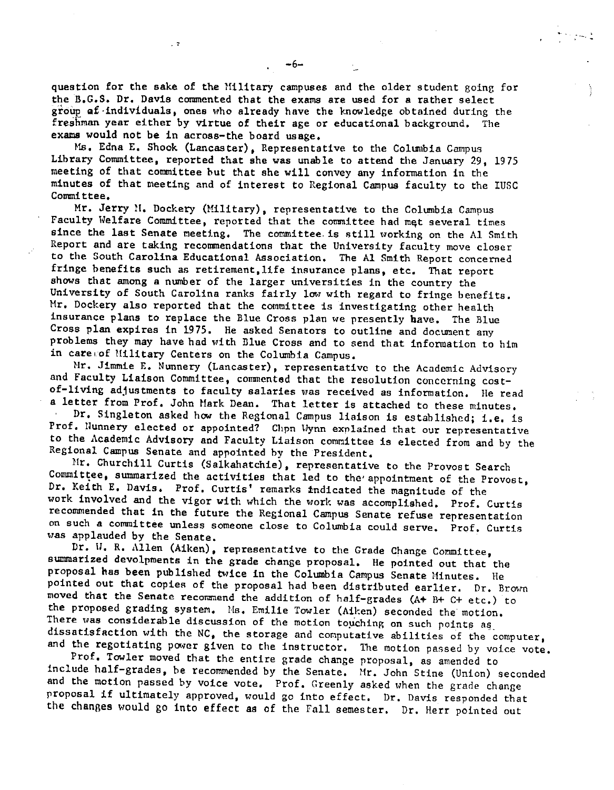question for the sake of the Hilitary campuses and the older student goinr, for the n.G.S. Dr. Davis commented that the exams are used for a rather select group af individuals, ones who already have the knowledge obtained during the freshman year either by virtue of their age or educational background, The exams would not be in across-the board **usage.** 

 $\sim$  7

Ms. Edna E. Shook (Lancaster), Representative to the Columbia Campus Library Committee, reported that she was unable to attend the January 29, <sup>1975</sup> meeting of that committee but that she will convey any information in the minutes of that meeting and of interest to Regional Campus faculty to the IUSC Committee.

Mr. Jerry M. Dockery (Military), representative to the Columbia Campus Faculty Welfare Committee, reported that the committee had met several times since the last Senate meeting. The committee. is still working on the Al Smith Report and are taking recommendations that the University faculty move closer to the South Carolina Educational Association. The Al Smith Report concerned fringe benefits such as retirement,life insurance plans, etc. That report shows that among a number of the larger universities in the country the University of South Carolina ranks fairly low with regard to fringe benefits, Mr. Dockery also reported that the committee is investigating other health insurance plans to replace the Blue Cross plan we presently have. The Blue Cross plan expires in 1975. He asked Senators to outline and document any problems they may have had with Blue Cross and to send that information to him in care of Military Centers on the Columbia Campus.

Mr. Jimmie E. Nunnery (Lancaster), representative to the Academic Advisory and Faculty Liaison Committee, commented that the resolution concerning costof-living adjustments to faculty salaries was received as information. He read <sup>a</sup>letter from Prof. John Hark Dean. That letter is attached to these minutes.

Dr. Singleton asked how the Regional Campus liaison is established; i.e. is Prof. Nunnery elected or appointed? Chpn Wynn explained that our representative to the Academic Advisory and Faculty Liaison committee is elected from and by the Regional Campus Senate and appointed by the President.

Mr. Churchill Curtis (Salkahatchie), representative to the Provost Search Committee, summarized the activities that led to the appointment of the Provost, Dr. Keith E. Davis. Prof, Curtis' remarks indicated the magnitude of the work involved and the vigor with which the work was accomplished. Prof. Curtis recommended that in the future the Regional Campus Senate refuse representation on such **a** conunittee unless someone close to Columbia could serve. Prof. Curtis was applauded by the Senate.

Dr. W. R. Allen (Aiken), representative to the Grade Change Committee, summarized devolpments in the grade change proposal. He pointed out that the proposal has been published twice in the Columbia Campus Senate Minutes. He pointed out that copies of the proposal had been distributed earlier. Dr. Brown moved that the Senate recommend the addition of half-grades (A+ B+ C+ etc.) to the proposed grading system. Ms. Emilie Towler (Aiken) seconded the motion. There was considerable discussion of the motion touching on such points as dissatisfaction with the NC, the storage and computative abilities of the computer, and the regotiating power given to the instructor. The motion passed by voice vote.

Prof. Towler moved that the entire grade change proposal, as amended to include half-grades, be recommended by the Senate. Hr. John Stine (Union) seconded and the motion passed by voice vote, Prof. Greenly asked when the grade change proposal if ultimately approved, would go into effect, Dr. Davis responded that the changes would go into effect as of the Fall semester. Dr. Herr pointed out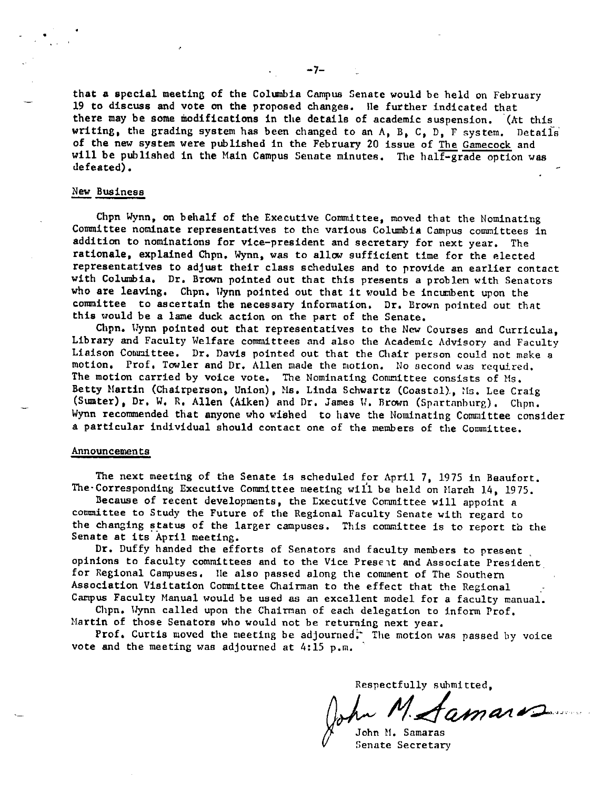that a special meeting of the Columbia Campus Senate would be held on February 19 to discuss and vote on the proposed changes, lie further indicated that there may be some modifications in the details of academic suspension, '(At this writing, the grading system has been changed to an  $A$ ,  $B$ ,  $C$ ,  $D$ ,  $F$  system. Details of the new system were published in the February 20 issue of The Gamecock and will be published in the Main Campus Senate minutes. The half-grade option was defeated),

## New Business

•

Chpn Wynn, on behalf of the Executive Committee, moved that the Nominating Committee nominate representatives to the various Columbia Campus committees in addition to nominations for vice-president and secretary for next year. The rationale, explained Chpn, Wynn, was to allow sufficient time for the elected representatives to adjust their class schedules and to provide an earlier contact with Columbia, Dr, Brown pointed out that this presents a problen with Senators who are leaving. Chpn. Wynn pointed out that it would be incumbent upon the committee to ascertain the necessary information, Dr, Brown pointed out that this would be a lame duck action on the part of the Senate,

Chpn. Wynn pointed out that representatives to the New Courses and Curricula, Library and Faculty Welfare committees and also the Academic Advisory and Faculty Liaison Committee. Dr. Davis pointed out that the Chair person could not make a motion, Prof, Towler and Dr, Allen made the motion, No second was required, The motion carried by voice vote. The Nominating Committee consists of Ms. Betty Martin (Chairperson, Union), Ms. Linda Schwartz (Coastal), Ms. Lee Craig (Sumter), Dr. W. R. Allen (Aiken) and Dr. James W. Brown (Spartanburg). Chpn. Wynn recommended that anyone who wished to have the Nominating Committee consider a particular individual should contact one of the members of the Committee,

## Announcements

The next meeting of the Senate is scheduled for April 7, 1975 in Beaufort, The Corresponding Executive Committee meeting will be held on March 14, 1975.

Because of recent developments, the Executive Committee will appoint a committee to Study the Future of the Regional Faculty Senate with regard to the changing status of the larger campuses. This committee is to report to the Senate at its April meeting.

Dr. Duffy handed the efforts of Senators and faculty members to present. opinions to faculty committees and to the Vice Present and Associate President for Regional Campuses, lie also passed along the comment of The Southern Association Visitation Committee Chairman to the effect that the Regional Campus Faculty Manual would be used as an excellent model for a faculty manual.

Chpn, \lynn called upon the Chairman of each delegation to inform Prof. Hartin of those Senators who would not be returning next year,

Prof. Curtis moved the meeting be adjourned: The motion was passed by voice vote and the meeting was adjourned at  $4:15$  p.m.

Respectfully submitted.

John H. Samaras **Senate Secretary**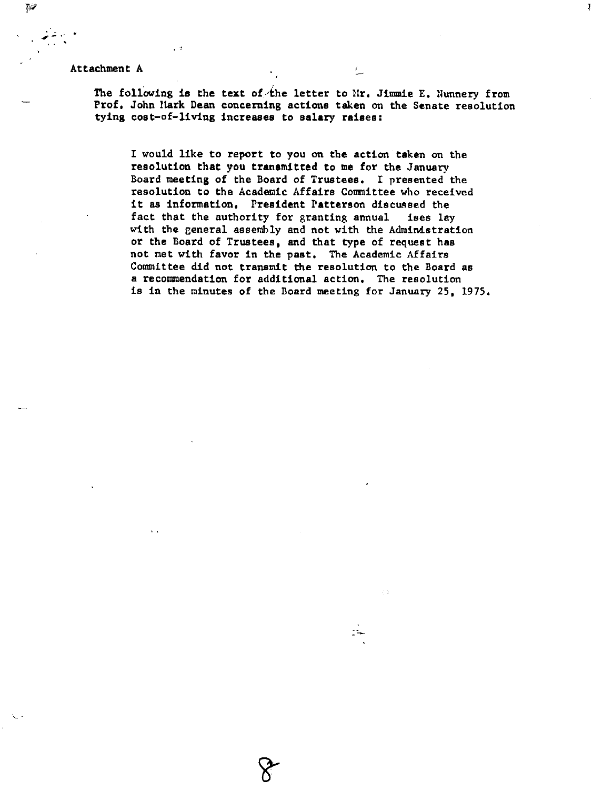Attachment A '...-

 $\sim$  3

.. . . . . '

 $\overline{\gamma}$ 

The following is the text of the letter to Mr. Jimmie E. Nunnery from Prof. John Mark Dean concerning actions taken on the Senate resolution tying cost-of-living **increases** to **salary raises:** 

Ţ

I would like to report to you on the action taken on the resolution **that** you **tranamitted to me** for the January Board meeting of the Board of Trustees, I presented the resolution to the Academic Affairs Committee who received it as information. President Patterson discussed the<br>fact that the authority for granting annual ises lay fact that the authority for granting annual with the general assembly and not with the Administration or the Board of Trustees, and that type of request has not met with favor in the past, The Academic Affairs Committee did not transmit the resolution to the Board as a recommendation for additional action, The resolution is in the minutes of the Board meeting for January 25, 1975,

 $\mathbb{I}$   $\rightarrow$